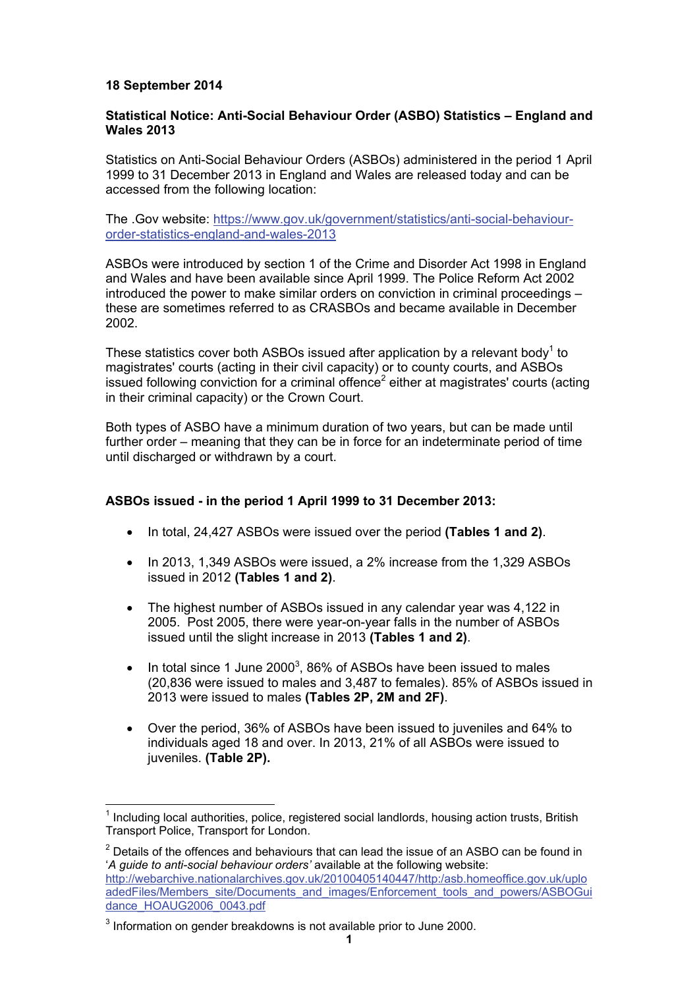# **18 September 2014**

<u>.</u>

# **Statistical Notice: Anti-Social Behaviour Order (ASBO) Statistics – England and Wales 2013**

Statistics on Anti-Social Behaviour Orders (ASBOs) administered in the period 1 April 1999 to 31 December 2013 in England and Wales are released today and can be accessed from the following location:

The .Gov website: https://www.gov.uk/government/statistics/anti-social-behaviourorder-statistics-england-and-wales-2013

ASBOs were introduced by section 1 of the Crime and Disorder Act 1998 in England and Wales and have been available since April 1999. The Police Reform Act 2002 introduced the power to make similar orders on conviction in criminal proceedings – these are sometimes referred to as CRASBOs and became available in December 2002.

These statistics cover both ASBOs issued after application by a relevant body<sup>1</sup> to magistrates' courts (acting in their civil capacity) or to county courts, and ASBOs issued following conviction for a criminal offence<sup>2</sup> either at magistrates' courts (acting in their criminal capacity) or the Crown Court.

Both types of ASBO have a minimum duration of two years, but can be made until further order – meaning that they can be in force for an indeterminate period of time until discharged or withdrawn by a court.

# **ASBOs issued - in the period 1 April 1999 to 31 December 2013:**

- In total, 24,427 ASBOs were issued over the period **(Tables 1 and 2)**.
- In 2013, 1,349 ASBOs were issued, a 2% increase from the 1,329 ASBOs issued in 2012 **(Tables 1 and 2)**.
- The highest number of ASBOs issued in any calendar year was 4,122 in 2005. Post 2005, there were year-on-year falls in the number of ASBOs issued until the slight increase in 2013 **(Tables 1 and 2)**.
- $\bullet$  In total since 1 June 2000<sup>3</sup>, 86% of ASBOs have been issued to males (20,836 were issued to males and 3,487 to females). 85% of ASBOs issued in 2013 were issued to males **(Tables 2P, 2M and 2F)**.
- Over the period, 36% of ASBOs have been issued to juveniles and 64% to individuals aged 18 and over. In 2013, 21% of all ASBOs were issued to juveniles. **(Table 2P).**

 $2$  Details of the offences and behaviours that can lead the issue of an ASBO can be found in '*A guide to anti-social behaviour orders'* available at the following website: http://webarchive.nationalarchives.gov.uk/20100405140447/http:/asb.homeoffice.gov.uk/uplo adedFiles/Members\_site/Documents\_and\_images/Enforcement\_tools\_and\_powers/ASBOGui dance\_HOAUG2006\_0043.pdf

 $<sup>1</sup>$  Including local authorities, police, registered social landlords, housing action trusts, British</sup> Transport Police, Transport for London.

 $3$  Information on gender breakdowns is not available prior to June 2000.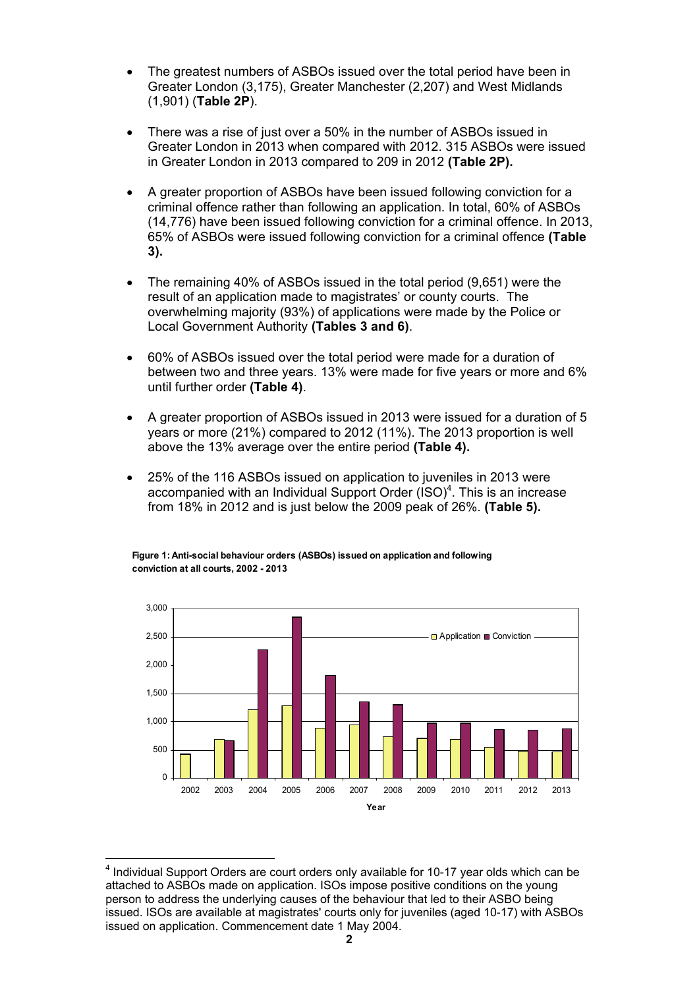- The greatest numbers of ASBOs issued over the total period have been in Greater London (3,175), Greater Manchester (2,207) and West Midlands (1,901) (**Table 2P**).
- There was a rise of just over a 50% in the number of ASBOs issued in Greater London in 2013 when compared with 2012. 315 ASBOs were issued in Greater London in 2013 compared to 209 in 2012 **(Table 2P).**
- A greater proportion of ASBOs have been issued following conviction for a criminal offence rather than following an application. In total, 60% of ASBOs (14,776) have been issued following conviction for a criminal offence. In 2013, 65% of ASBOs were issued following conviction for a criminal offence **(Table 3).**
- The remaining 40% of ASBOs issued in the total period (9,651) were the result of an application made to magistrates' or county courts. The overwhelming majority (93%) of applications were made by the Police or Local Government Authority **(Tables 3 and 6)**.
- 60% of ASBOs issued over the total period were made for a duration of between two and three years. 13% were made for five years or more and 6% until further order **(Table 4)**.
- A greater proportion of ASBOs issued in 2013 were issued for a duration of 5 years or more (21%) compared to 2012 (11%). The 2013 proportion is well above the 13% average over the entire period **(Table 4).**
- 25% of the 116 ASBOs issued on application to juveniles in 2013 were accompanied with an Individual Support Order  $(ISO)^4$ . This is an increase from 18% in 2012 and is just below the 2009 peak of 26%. **(Table 5).**



**Figure 1: Anti-social behaviour orders (ASBOs) issued on application and following conviction at all courts, 2002 - 2013**

<u>.</u>

 $<sup>4</sup>$  Individual Support Orders are court orders only available for 10-17 year olds which can be</sup> attached to ASBOs made on application. ISOs impose positive conditions on the young person to address the underlying causes of the behaviour that led to their ASBO being issued. ISOs are available at magistrates' courts only for juveniles (aged 10-17) with ASBOs issued on application. Commencement date 1 May 2004.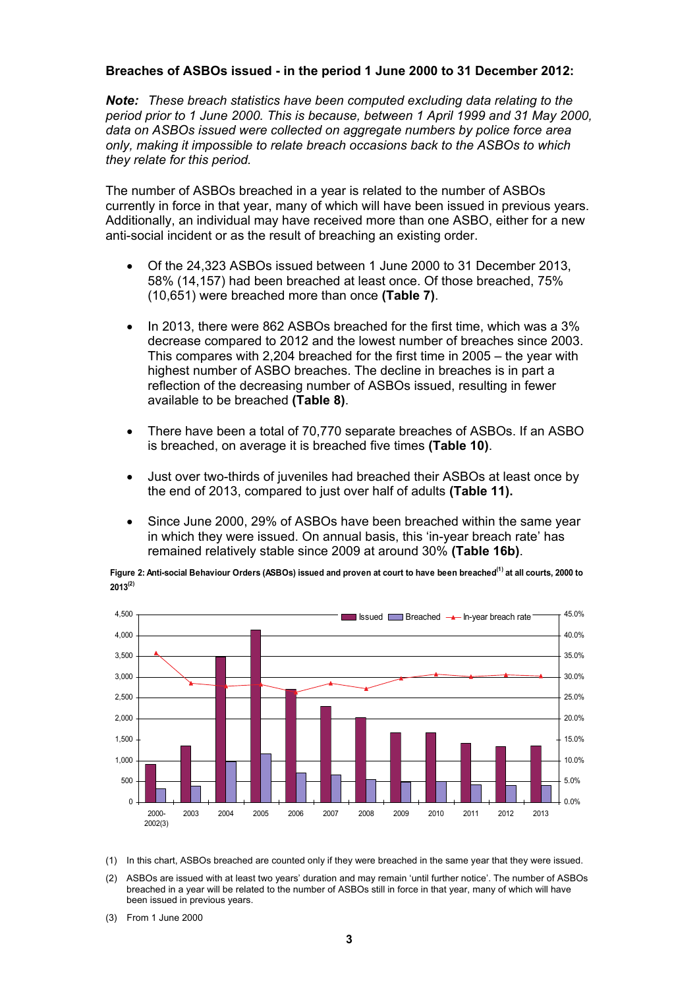### **Breaches of ASBOs issued - in the period 1 June 2000 to 31 December 2012:**

*Note: These breach statistics have been computed excluding data relating to the period prior to 1 June 2000. This is because, between 1 April 1999 and 31 May 2000, data on ASBOs issued were collected on aggregate numbers by police force area only, making it impossible to relate breach occasions back to the ASBOs to which they relate for this period.* 

The number of ASBOs breached in a year is related to the number of ASBOs currently in force in that year, many of which will have been issued in previous years. Additionally, an individual may have received more than one ASBO, either for a new anti-social incident or as the result of breaching an existing order.

- Of the 24,323 ASBOs issued between 1 June 2000 to 31 December 2013, 58% (14,157) had been breached at least once. Of those breached, 75% (10,651) were breached more than once **(Table 7)**.
- In 2013, there were 862 ASBOs breached for the first time, which was a 3% decrease compared to 2012 and the lowest number of breaches since 2003. This compares with 2,204 breached for the first time in 2005 – the year with highest number of ASBO breaches. The decline in breaches is in part a reflection of the decreasing number of ASBOs issued, resulting in fewer available to be breached **(Table 8)**.
- There have been a total of 70,770 separate breaches of ASBOs. If an ASBO is breached, on average it is breached five times **(Table 10)**.
- Just over two-thirds of juveniles had breached their ASBOs at least once by the end of 2013, compared to just over half of adults **(Table 11).**
- Since June 2000, 29% of ASBOs have been breached within the same year in which they were issued. On annual basis, this 'in-year breach rate' has remained relatively stable since 2009 at around 30% **(Table 16b)**.

Figure 2: Anti-social Behaviour Orders (ASBOs) issued and proven at court to have been breached<sup>(1)</sup> at all courts, 2000 to **2013(2)**



(1) In this chart, ASBOs breached are counted only if they were breached in the same year that they were issued.

- (2) ASBOs are issued with at least two years' duration and may remain 'until further notice'. The number of ASBOs breached in a year will be related to the number of ASBOs still in force in that year, many of which will have been issued in previous years.
- (3) From 1 June 2000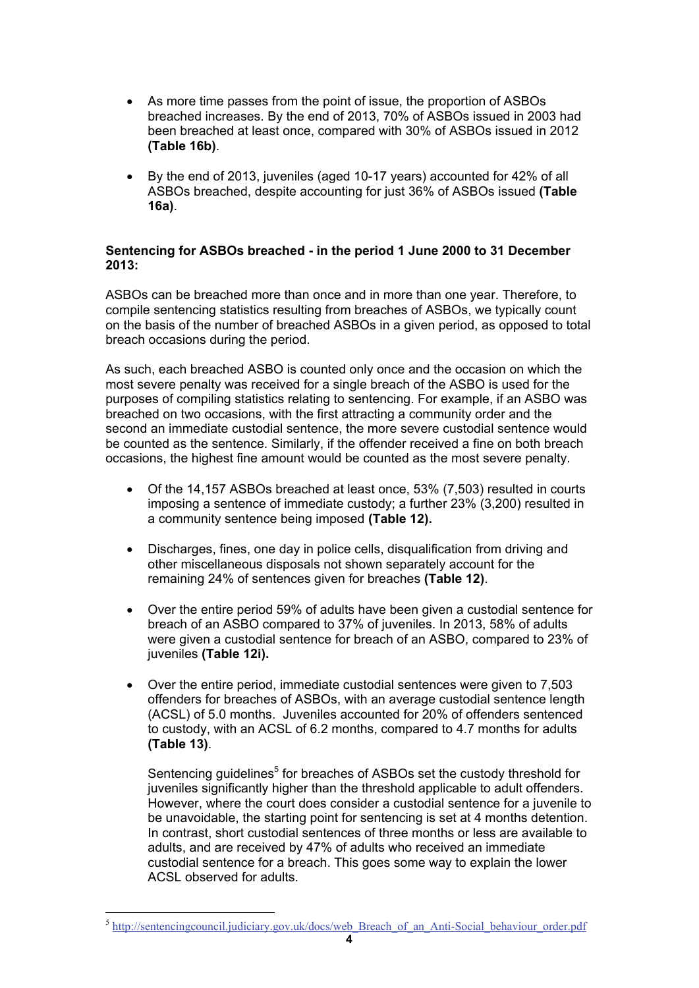- As more time passes from the point of issue, the proportion of ASBOs breached increases. By the end of 2013, 70% of ASBOs issued in 2003 had been breached at least once, compared with 30% of ASBOs issued in 2012 **(Table 16b)**.
- By the end of 2013, juveniles (aged 10-17 years) accounted for 42% of all ASBOs breached, despite accounting for just 36% of ASBOs issued **(Table 16a)**.

### **Sentencing for ASBOs breached - in the period 1 June 2000 to 31 December 2013:**

ASBOs can be breached more than once and in more than one year. Therefore, to compile sentencing statistics resulting from breaches of ASBOs, we typically count on the basis of the number of breached ASBOs in a given period, as opposed to total breach occasions during the period.

As such, each breached ASBO is counted only once and the occasion on which the most severe penalty was received for a single breach of the ASBO is used for the purposes of compiling statistics relating to sentencing. For example, if an ASBO was breached on two occasions, with the first attracting a community order and the second an immediate custodial sentence, the more severe custodial sentence would be counted as the sentence. Similarly, if the offender received a fine on both breach occasions, the highest fine amount would be counted as the most severe penalty.

- Of the 14,157 ASBOs breached at least once, 53% (7,503) resulted in courts imposing a sentence of immediate custody; a further 23% (3,200) resulted in a community sentence being imposed **(Table 12).**
- Discharges, fines, one day in police cells, disqualification from driving and other miscellaneous disposals not shown separately account for the remaining 24% of sentences given for breaches **(Table 12)**.
- Over the entire period 59% of adults have been given a custodial sentence for breach of an ASBO compared to 37% of juveniles. In 2013, 58% of adults were given a custodial sentence for breach of an ASBO, compared to 23% of juveniles **(Table 12i).**
- Over the entire period, immediate custodial sentences were given to 7,503 offenders for breaches of ASBOs, with an average custodial sentence length (ACSL) of 5.0 months. Juveniles accounted for 20% of offenders sentenced to custody, with an ACSL of 6.2 months, compared to 4.7 months for adults **(Table 13)**.

Sentencing guidelines<sup>5</sup> for breaches of ASBOs set the custody threshold for juveniles significantly higher than the threshold applicable to adult offenders. However, where the court does consider a custodial sentence for a juvenile to be unavoidable, the starting point for sentencing is set at 4 months detention. In contrast, short custodial sentences of three months or less are available to adults, and are received by 47% of adults who received an immediate custodial sentence for a breach. This goes some way to explain the lower ACSL observed for adults.

1

<sup>&</sup>lt;sup>5</sup> http://sentencingcouncil.judiciary.gov.uk/docs/web\_Breach\_of\_an\_Anti-Social\_behaviour\_order.pdf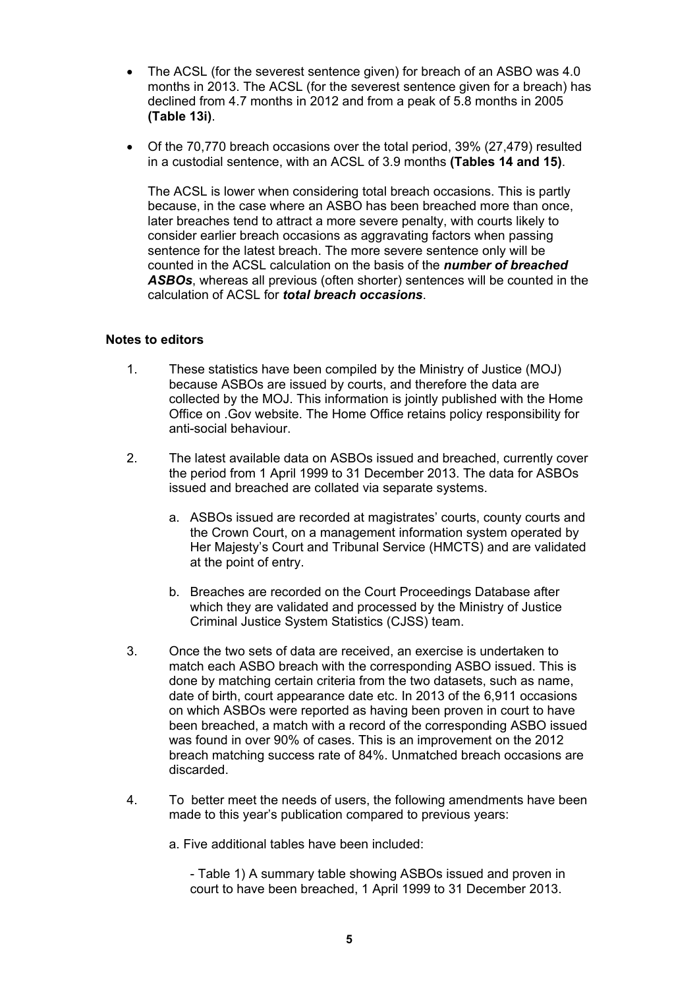- The ACSL (for the severest sentence given) for breach of an ASBO was 4.0 months in 2013. The ACSL (for the severest sentence given for a breach) has declined from 4.7 months in 2012 and from a peak of 5.8 months in 2005 **(Table 13i)**.
- Of the 70,770 breach occasions over the total period, 39% (27,479) resulted in a custodial sentence, with an ACSL of 3.9 months **(Tables 14 and 15)**.

The ACSL is lower when considering total breach occasions. This is partly because, in the case where an ASBO has been breached more than once, later breaches tend to attract a more severe penalty, with courts likely to consider earlier breach occasions as aggravating factors when passing sentence for the latest breach. The more severe sentence only will be counted in the ACSL calculation on the basis of the *number of breached ASBOs*, whereas all previous (often shorter) sentences will be counted in the calculation of ACSL for *total breach occasions*.

### **Notes to editors**

- 1. These statistics have been compiled by the Ministry of Justice (MOJ) because ASBOs are issued by courts, and therefore the data are collected by the MOJ. This information is jointly published with the Home Office on .Gov website. The Home Office retains policy responsibility for anti-social behaviour.
- 2. The latest available data on ASBOs issued and breached, currently cover the period from 1 April 1999 to 31 December 2013. The data for ASBOs issued and breached are collated via separate systems.
	- a. ASBOs issued are recorded at magistrates' courts, county courts and the Crown Court, on a management information system operated by Her Majesty's Court and Tribunal Service (HMCTS) and are validated at the point of entry.
	- b. Breaches are recorded on the Court Proceedings Database after which they are validated and processed by the Ministry of Justice Criminal Justice System Statistics (CJSS) team.
- 3. Once the two sets of data are received, an exercise is undertaken to match each ASBO breach with the corresponding ASBO issued. This is done by matching certain criteria from the two datasets, such as name, date of birth, court appearance date etc. In 2013 of the 6,911 occasions on which ASBOs were reported as having been proven in court to have been breached, a match with a record of the corresponding ASBO issued was found in over 90% of cases. This is an improvement on the 2012 breach matching success rate of 84%. Unmatched breach occasions are discarded.
- 4. To better meet the needs of users, the following amendments have been made to this year's publication compared to previous years:

a. Five additional tables have been included:

- Table 1) A summary table showing ASBOs issued and proven in court to have been breached, 1 April 1999 to 31 December 2013.